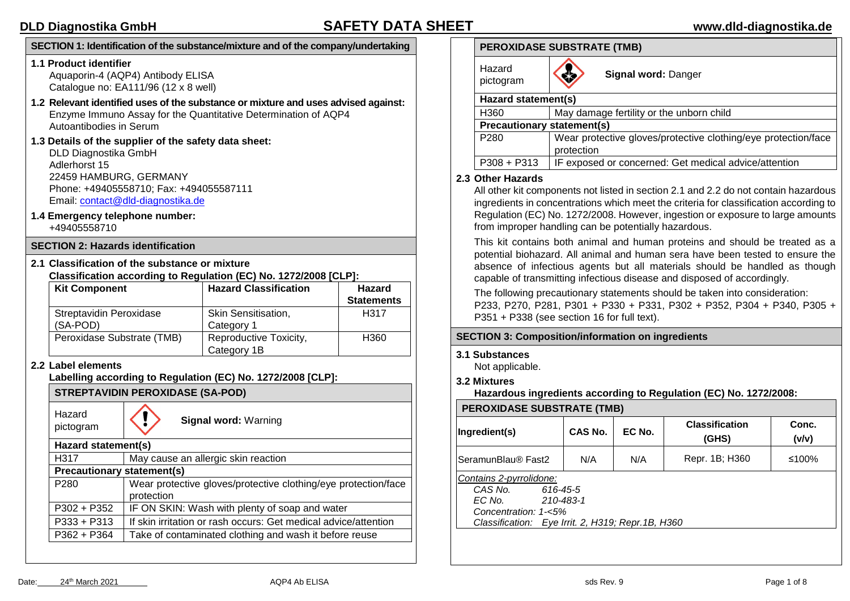### **SECTION 1: Identification of the substance/mixture and of the company/undertaking**

#### **1.1 Product identifier**

Aquaporin-4 (AQP4) Antibody ELISA Catalogue no: EA111/96 (12 x 8 well)

- **1.2 Relevant identified uses of the substance or mixture and uses advised against:** Enzyme Immuno Assay for the Quantitative Determination of AQP4 Autoantibodies in Serum
- **1.3 Details of the supplier of the safety data sheet:** DLD Diagnostika GmbH Adlerhorst 15 22459 HAMBURG, GERMANY Phone: +49405558710; Fax: +494055587111

Email: [contact@dld-diagnostika.de](mailto:contact@dld-diagnostika.de)

**1.4 Emergency telephone number:** +49405558710

#### **SECTION 2: Hazards identification**

**2.1 Classification of the substance or mixture Classification according to Regulation (EC) No. 1272/2008 [CLP]:**

| <b>Kit Component</b>       | <b>Hazard Classification</b> | Hazard            |
|----------------------------|------------------------------|-------------------|
|                            |                              | <b>Statements</b> |
| Streptavidin Peroxidase    | <b>Skin Sensitisation,</b>   | H317              |
| (SA-POD)                   | Category 1                   |                   |
| Peroxidase Substrate (TMB) | Reproductive Toxicity,       | H360              |
|                            | Category 1B                  |                   |

#### **2.2 Label elements**

**Labelling according to Regulation (EC) No. 1272/2008 [CLP]:**

**STREPTAVIDIN PEROXIDASE (SA-POD)**

Hazard

Hazard<br>pictogram<br>**Signal word:** Warning

| .                                 |                                                                 |  |  |  |  |
|-----------------------------------|-----------------------------------------------------------------|--|--|--|--|
| Hazard statement(s)               |                                                                 |  |  |  |  |
| H317                              | May cause an allergic skin reaction                             |  |  |  |  |
| <b>Precautionary statement(s)</b> |                                                                 |  |  |  |  |
| P <sub>280</sub>                  | Wear protective gloves/protective clothing/eye protection/face  |  |  |  |  |
|                                   | protection                                                      |  |  |  |  |
| $P302 + P352$                     | IF ON SKIN: Wash with plenty of soap and water                  |  |  |  |  |
| $P333 + P313$                     | If skin irritation or rash occurs: Get medical advice/attention |  |  |  |  |
| $P362 + P364$                     | Take of contaminated clothing and wash it before reuse          |  |  |  |  |
|                                   |                                                                 |  |  |  |  |

### **PEROXIDASE SUBSTRATE (TMB)**

| Hazard<br>pictogram               | Signal word: Danger                                                          |  |  |  |  |  |
|-----------------------------------|------------------------------------------------------------------------------|--|--|--|--|--|
| Hazard statement(s)               |                                                                              |  |  |  |  |  |
| H360                              | May damage fertility or the unborn child                                     |  |  |  |  |  |
| <b>Precautionary statement(s)</b> |                                                                              |  |  |  |  |  |
| P <sub>280</sub>                  | Wear protective gloves/protective clothing/eye protection/face<br>protection |  |  |  |  |  |
| $P308 + P313$                     | IF exposed or concerned: Get medical advice/attention                        |  |  |  |  |  |

### **2.3 Other Hazards**

All other kit components not listed in section 2.1 and 2.2 do not contain hazardous ingredients in concentrations which meet the criteria for classification according to Regulation (EC) No. 1272/2008. However, ingestion or exposure to large amounts from improper handling can be potentially hazardous.

This kit contains both animal and human proteins and should be treated as a potential biohazard. All animal and human sera have been tested to ensure the absence of infectious agents but all materials should be handled as though capable of transmitting infectious disease and disposed of accordingly.

The following precautionary statements should be taken into consideration: P233, P270, P281, P301 + P330 + P331, P302 + P352, P304 + P340, P305 + P351 + P338 (see section 16 for full text).

### **SECTION 3: Composition/information on ingredients**

#### **3.1 Substances**

Not applicable.

**3.2 Mixtures**

**Hazardous ingredients according to Regulation (EC) No. 1272/2008:**

### **PEROXIDASE SUBSTRATE (TMB)**

| Ingredient(s)                                                                                                                          | CAS No.   | EC No. | <b>Classification</b><br>(GHS) | Conc.<br>(v/v) |
|----------------------------------------------------------------------------------------------------------------------------------------|-----------|--------|--------------------------------|----------------|
| SeramunBlau® Fast2                                                                                                                     | N/A       | N/A    | Repr. 1B; H360                 | ≤100%          |
| Contains 2-pyrrolidone:<br>CAS No.<br>616-45-5<br>EC No.<br>Concentration: 1-<5%<br>Classification: Eye Irrit. 2, H319; Repr. 1B, H360 | 210-483-1 |        |                                |                |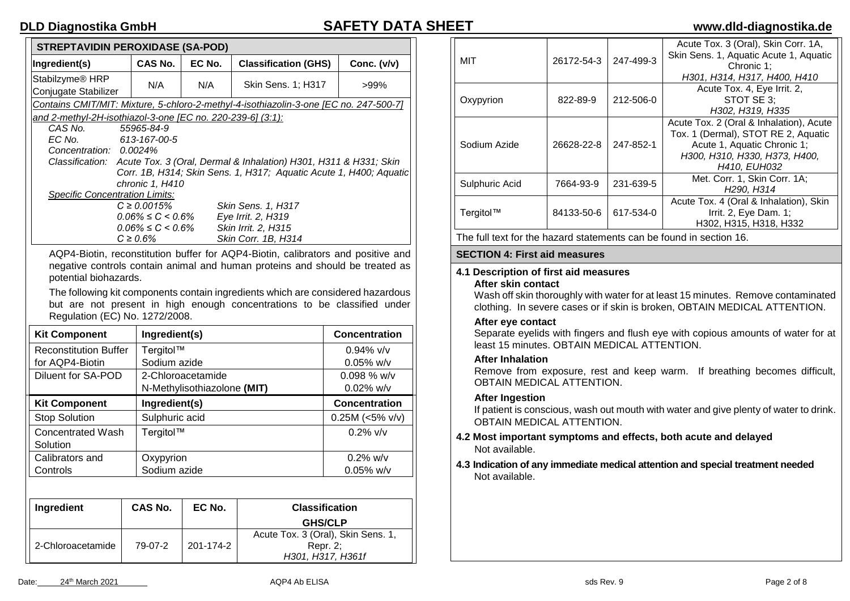| <b>STREPTAVIDIN PEROXIDASE (SA-POD)</b>                                                                                                                                                                                                                                                                                                                                                                       |                                                                          |        |                                                                 |               |  |  |  |
|---------------------------------------------------------------------------------------------------------------------------------------------------------------------------------------------------------------------------------------------------------------------------------------------------------------------------------------------------------------------------------------------------------------|--------------------------------------------------------------------------|--------|-----------------------------------------------------------------|---------------|--|--|--|
| Ingredient(s)                                                                                                                                                                                                                                                                                                                                                                                                 | CAS No.                                                                  | EC No. | <b>Classification (GHS)</b>                                     | Conc. $(v/v)$ |  |  |  |
| Stabilzyme <sup>®</sup> HRP<br>Conjugate Stabilizer                                                                                                                                                                                                                                                                                                                                                           | N/A                                                                      | N/A    | Skin Sens. 1; H317                                              | >99%          |  |  |  |
|                                                                                                                                                                                                                                                                                                                                                                                                               |                                                                          |        |                                                                 |               |  |  |  |
| Contains CMIT/MIT: Mixture, 5-chloro-2-methyl-4-isothiazolin-3-one [EC no. 247-500-7]<br>and 2-methyl-2H-isothiazol-3-one [EC no. 220-239-6] (3:1):<br>CAS No.<br>55965-84-9<br>EC No.<br>613-167-00-5<br>Concentration: 0.0024%<br>Classification: Acute Tox. 3 (Oral, Dermal & Inhalation) H301, H311 & H331; Skin<br>Corr. 1B, H314; Skin Sens. 1, H317; Aquatic Acute 1, H400; Aquatic<br>chronic 1, H410 |                                                                          |        |                                                                 |               |  |  |  |
| <b>Specific Concentration Limits:</b>                                                                                                                                                                                                                                                                                                                                                                         |                                                                          |        |                                                                 |               |  |  |  |
|                                                                                                                                                                                                                                                                                                                                                                                                               | $C \ge 0.0015\%$<br>$0.06\% \le C \le 0.6\%$<br>$0.06\% \le C \le 0.6\%$ |        | Skin Sens. 1, H317<br>Eye Irrit. 2, H319<br>Skin Irrit. 2. H315 |               |  |  |  |

AQP4-Biotin, reconstitution buffer for AQP4-Biotin, calibrators and positive and negative controls contain animal and human proteins and should be treated as potential biohazards.

*C ≥ 0.6% Skin Corr. 1B, H314*

The following kit components contain ingredients which are considered hazardous but are not present in high enough concentrations to be classified under Regulation (EC) No. 1272/2008.

| <b>Kit Component</b>         | Ingredient(s)  |                             | <b>Concentration</b> |                       |
|------------------------------|----------------|-----------------------------|----------------------|-----------------------|
| <b>Reconstitution Buffer</b> | Tergitol™      |                             |                      | $0.94\%$ v/v          |
| for AQP4-Biotin              | Sodium azide   |                             |                      | $0.05\%$ w/v          |
| Diluent for SA-POD           |                | 2-Chloroacetamide           |                      | $0.098\%$ w/v         |
|                              |                | N-Methylisothiazolone (MIT) | $0.02\%$ w/v         |                       |
| <b>Kit Component</b>         | Ingredient(s)  |                             | Concentration        |                       |
| <b>Stop Solution</b>         | Sulphuric acid |                             | $0.25M$ (<5% v/v)    |                       |
| Concentrated Wash            | Tergitol™      |                             | $0.2\%$ v/v          |                       |
| Solution                     |                |                             |                      |                       |
| Calibrators and              | Oxypyrion      |                             | $0.2\%$ w/v          |                       |
| Controls                     | Sodium azide   |                             | $0.05\%$ w/v         |                       |
|                              |                |                             |                      |                       |
| <b>Inaredient</b>            | CAS No.        | EC No.                      |                      | <b>Classification</b> |

| Ingredient |                   | <b>CAS No.</b> | EC No.    | <b>Classification</b>                                               |
|------------|-------------------|----------------|-----------|---------------------------------------------------------------------|
|            |                   |                |           | <b>GHS/CLP</b>                                                      |
|            | 2-Chloroacetamide | 79-07-2        | 201-174-2 | Acute Tox. 3 (Oral), Skin Sens. 1,<br>Repr. 2:<br>H301, H317, H361f |

| MIT            | 26172-54-3 | 247-499-3 | Acute Tox. 3 (Oral), Skin Corr. 1A,<br>Skin Sens. 1, Aquatic Acute 1, Aquatic<br>Chronic 1;<br>H301, H314, H317, H400, H410                                    |
|----------------|------------|-----------|----------------------------------------------------------------------------------------------------------------------------------------------------------------|
| Oxypyrion      | 822-89-9   | 212-506-0 | Acute Tox. 4, Eye Irrit. 2,<br>STOT SE 3:<br>H302, H319, H335                                                                                                  |
| Sodium Azide   | 26628-22-8 | 247-852-1 | Acute Tox. 2 (Oral & Inhalation), Acute<br>Tox. 1 (Dermal), STOT RE 2, Aquatic<br>Acute 1, Aquatic Chronic 1;<br>H300, H310, H330, H373, H400,<br>H410, EUH032 |
| Sulphuric Acid | 7664-93-9  | 231-639-5 | Met. Corr. 1, Skin Corr. 1A;<br>H <sub>290</sub> , H <sub>314</sub>                                                                                            |
| Tergitol™      | 84133-50-6 | 617-534-0 | Acute Tox. 4 (Oral & Inhalation), Skin<br>Irrit. 2, Eye Dam. 1;<br>H302, H315, H318, H332                                                                      |

The full text for the hazard statements can be found in section 16.

#### **SECTION 4: First aid measures**

#### **4.1 Description of first aid measures After skin contact**

Wash off skin thoroughly with water for at least 15 minutes. Remove contaminated clothing. In severe cases or if skin is broken, OBTAIN MEDICAL ATTENTION.

### **After eye contact**

Separate eyelids with fingers and flush eye with copious amounts of water for at least 15 minutes. OBTAIN MEDICAL ATTENTION.

#### **After Inhalation**

Remove from exposure, rest and keep warm. If breathing becomes difficult, OBTAIN MEDICAL ATTENTION

#### **After Ingestion**

If patient is conscious, wash out mouth with water and give plenty of water to drink. OBTAIN MEDICAL ATTENTION.

- **4.2 Most important symptoms and effects, both acute and delayed** Not available.
- **4.3 Indication of any immediate medical attention and special treatment needed** Not available.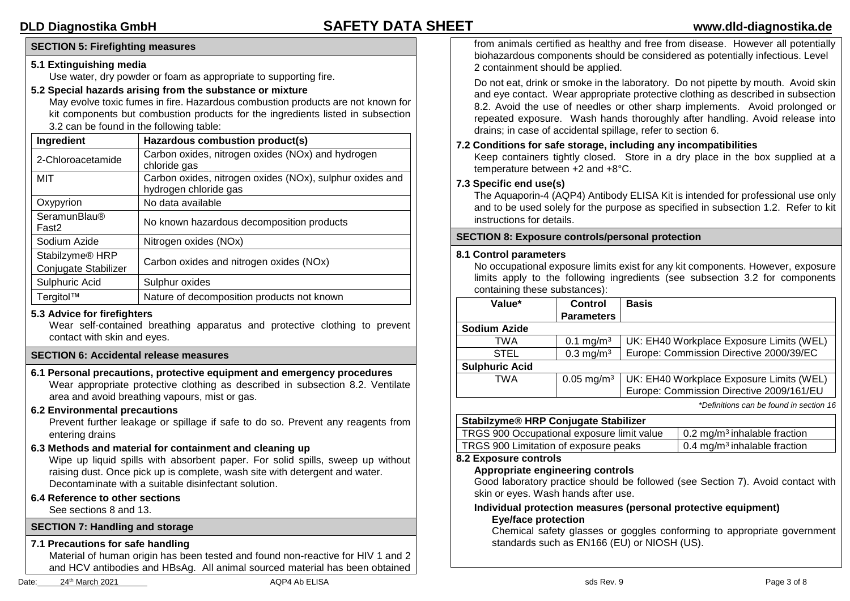# **SECTION 5: Firefighting measures**

# **5.1 Extinguishing media**

Use water, dry powder or foam as appropriate to supporting fire.

# **5.2 Special hazards arising from the substance or mixture**

May evolve toxic fumes in fire. Hazardous combustion products are not known for kit components but combustion products for the ingredients listed in subsection 3.2 can be found in the following table:

| Ingredient                                          | Hazardous combustion product(s)                                                   |
|-----------------------------------------------------|-----------------------------------------------------------------------------------|
| 2-Chloroacetamide                                   | Carbon oxides, nitrogen oxides (NOx) and hydrogen<br>chloride gas                 |
| MIT                                                 | Carbon oxides, nitrogen oxides (NOx), sulphur oxides and<br>hydrogen chloride gas |
| Oxypyrion                                           | No data available                                                                 |
| <b>SeramunBlau®</b><br>Fast <sub>2</sub>            | No known hazardous decomposition products                                         |
| Sodium Azide                                        | Nitrogen oxides (NOx)                                                             |
| Stabilzyme <sup>®</sup> HRP<br>Conjugate Stabilizer | Carbon oxides and nitrogen oxides (NOx)                                           |
| Sulphuric Acid                                      | Sulphur oxides                                                                    |
| Tergitol™                                           | Nature of decomposition products not known                                        |

# **5.3 Advice for firefighters**

Wear self-contained breathing apparatus and protective clothing to prevent contact with skin and eyes.

# **SECTION 6: Accidental release measures**

**6.1 Personal precautions, protective equipment and emergency procedures** Wear appropriate protective clothing as described in subsection 8.2. Ventilate area and avoid breathing vapours, mist or gas.

# **6.2 Environmental precautions**

Prevent further leakage or spillage if safe to do so. Prevent any reagents from entering drains

**6.3 Methods and material for containment and cleaning up**

Wipe up liquid spills with absorbent paper. For solid spills, sweep up without raising dust. Once pick up is complete, wash site with detergent and water. Decontaminate with a suitable disinfectant solution.

**6.4 Reference to other sections**

See sections 8 and 13.

# **SECTION 7: Handling and storage**

# **7.1 Precautions for safe handling**

Material of human origin has been tested and found non-reactive for HIV 1 and 2 and HCV antibodies and HBsAg. All animal sourced material has been obtained from animals certified as healthy and free from disease. However all potentially biohazardous components should be considered as potentially infectious. Level 2 containment should be applied.

Do not eat, drink or smoke in the laboratory. Do not pipette by mouth. Avoid skin and eye contact. Wear appropriate protective clothing as described in subsection 8.2. Avoid the use of needles or other sharp implements. Avoid prolonged or repeated exposure. Wash hands thoroughly after handling. Avoid release into drains; in case of accidental spillage, refer to section 6.

# **7.2 Conditions for safe storage, including any incompatibilities**

Keep containers tightly closed. Store in a dry place in the box supplied at a temperature between +2 and +8°C.

## **7.3 Specific end use(s)**

The Aquaporin-4 (AQP4) Antibody ELISA Kit is intended for professional use only and to be used solely for the purpose as specified in subsection 1.2. Refer to kit instructions for details.

### **SECTION 8: Exposure controls/personal protection**

#### **8.1 Control parameters**

|  |  |                               |  |  | No occupational exposure limits exist for any kit components. However, exposure |
|--|--|-------------------------------|--|--|---------------------------------------------------------------------------------|
|  |  |                               |  |  | limits apply to the following ingredients (see subsection 3.2 for components    |
|  |  | containing these substances): |  |  |                                                                                 |

| Value*                | <b>Control</b>                                                     | <b>Basis</b>                             |
|-----------------------|--------------------------------------------------------------------|------------------------------------------|
|                       | <b>Parameters</b>                                                  |                                          |
| <b>Sodium Azide</b>   |                                                                    |                                          |
| TWA                   | 0.1 mg/m <sup>3</sup>                                              | UK: EH40 Workplace Exposure Limits (WEL) |
| <b>STEL</b>           | Europe: Commission Directive 2000/39/EC<br>$0.3$ mg/m <sup>3</sup> |                                          |
| <b>Sulphuric Acid</b> |                                                                    |                                          |
| TWA                   | $0.05 \text{ mg/m}^3$                                              | UK: EH40 Workplace Exposure Limits (WEL) |
|                       |                                                                    | Europe: Commission Directive 2009/161/EU |

*\*Definitions can be found in section 16*

# **Stabilzyme® HRP Conjugate Stabilizer**

| TRGS 900 Occupational exposure limit value | $\vert$ 0.2 mg/m <sup>3</sup> inhalable fraction |
|--------------------------------------------|--------------------------------------------------|
| TRGS 900 Limitation of exposure peaks      | $\vert$ 0.4 mg/m <sup>3</sup> inhalable fraction |

### **8.2 Exposure controls**

# **Appropriate engineering controls**

Good laboratory practice should be followed (see Section 7). Avoid contact with skin or eyes. Wash hands after use.

## **Individual protection measures (personal protective equipment) Eye/face protection**

Chemical safety glasses or goggles conforming to appropriate government standards such as EN166 (EU) or NIOSH (US).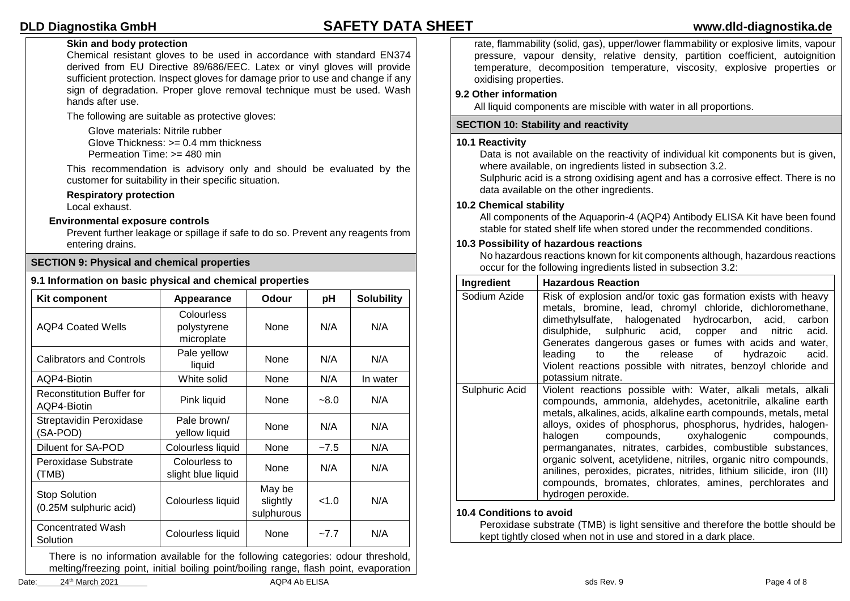# **Skin and body protection**

Chemical resistant gloves to be used in accordance with standard EN374 derived from EU Directive 89/686/EEC. Latex or vinyl gloves will provide sufficient protection. Inspect gloves for damage prior to use and change if any sign of degradation. Proper glove removal technique must be used. Wash hands after use.

The following are suitable as protective gloves:

Glove materials: Nitrile rubber Glove Thickness:  $>= 0.4$  mm thickness Permeation Time: >= 480 min

This recommendation is advisory only and should be evaluated by the customer for suitability in their specific situation.

#### **Respiratory protection**

Local exhaust.

#### **Environmental exposure controls**

Prevent further leakage or spillage if safe to do so. Prevent any reagents from entering drains.

## **SECTION 9: Physical and chemical properties**

#### **9.1 Information on basic physical and chemical properties**

| Kit component                                                                  | Appearance                              | <b>Odour</b>                     | рH     | <b>Solubility</b> |
|--------------------------------------------------------------------------------|-----------------------------------------|----------------------------------|--------|-------------------|
| <b>AQP4 Coated Wells</b>                                                       | Colourless<br>polystyrene<br>microplate | None                             | N/A    | N/A               |
| <b>Calibrators and Controls</b>                                                | Pale yellow<br>liquid                   | None                             | N/A    | N/A               |
| AQP4-Biotin                                                                    | White solid                             | None                             | N/A    | In water          |
| <b>Reconstitution Buffer for</b><br>AQP4-Biotin                                | Pink liquid                             | None                             | $-8.0$ | N/A               |
| Streptavidin Peroxidase<br>(SA-POD)                                            | Pale brown/<br>yellow liquid            | None                             | N/A    | N/A               |
| Diluent for SA-POD                                                             | Colourless liquid                       | None                             | $-7.5$ | N/A               |
| Peroxidase Substrate<br>(TMB)                                                  | Colourless to<br>slight blue liquid     | None                             | N/A    | N/A               |
| <b>Stop Solution</b><br>(0.25M sulphuric acid)                                 | Colourless liquid                       | May be<br>slightly<br>sulphurous | < 1.0  | N/A               |
| <b>Concentrated Wash</b><br>Solution                                           | Colourless liquid                       | None                             | $-7.7$ | N/A               |
| There is no information ovailable for the following estegation adous threabold |                                         |                                  |        |                   |

There is no information available for the following categories: odour threshold, melting/freezing point, initial boiling point/boiling range, flash point, evaporation

Date: 24th March 2021 AQP4 Ab ELISA sds Rev. 9 Page 4 of 8

rate, flammability (solid, gas), upper/lower flammability or explosive limits, vapour pressure, vapour density, relative density, partition coefficient, autoignition temperature, decomposition temperature, viscosity, explosive properties or oxidising properties.

### **9.2 Other information**

All liquid components are miscible with water in all proportions.

### **SECTION 10: Stability and reactivity**

#### **10.1 Reactivity**

Data is not available on the reactivity of individual kit components but is given, where available, on ingredients listed in subsection 3.2.

Sulphuric acid is a strong oxidising agent and has a corrosive effect. There is no data available on the other ingredients.

### **10.2 Chemical stability**

All components of the Aquaporin-4 (AQP4) Antibody ELISA Kit have been found stable for stated shelf life when stored under the recommended conditions.

#### **10.3 Possibility of hazardous reactions**

No hazardous reactions known for kit components although, hazardous reactions occur for the following ingredients listed in subsection 3.2:

| Ingredient     | <b>Hazardous Reaction</b>                                                                                                                                                                                                                                                                                                                                                                                                                                                                                                                                                                                       |
|----------------|-----------------------------------------------------------------------------------------------------------------------------------------------------------------------------------------------------------------------------------------------------------------------------------------------------------------------------------------------------------------------------------------------------------------------------------------------------------------------------------------------------------------------------------------------------------------------------------------------------------------|
| Sodium Azide   | Risk of explosion and/or toxic gas formation exists with heavy<br>metals, bromine, lead, chromyl chloride, dichloromethane,<br>dimethylsulfate, halogenated hydrocarbon, acid, carbon<br>disulphide, sulphuric acid, copper and nitric<br>acid.<br>Generates dangerous gases or fumes with acids and water,<br>the release of<br>leading<br>hydrazoic<br>acid.<br>to to<br>Violent reactions possible with nitrates, benzoyl chloride and<br>potassium nitrate.                                                                                                                                                 |
| Sulphuric Acid | Violent reactions possible with: Water, alkali metals, alkali<br>compounds, ammonia, aldehydes, acetonitrile, alkaline earth<br>metals, alkalines, acids, alkaline earth compounds, metals, metal<br>alloys, oxides of phosphorus, phosphorus, hydrides, halogen-<br>compounds, oxyhalogenic compounds,<br>halogen<br>permanganates, nitrates, carbides, combustible substances,<br>organic solvent, acetylidene, nitriles, organic nitro compounds,<br>anilines, peroxides, picrates, nitrides, lithium silicide, iron (III)<br>compounds, bromates, chlorates, amines, perchlorates and<br>hydrogen peroxide. |

### **10.4 Conditions to avoid**

Peroxidase substrate (TMB) is light sensitive and therefore the bottle should be kept tightly closed when not in use and stored in a dark place.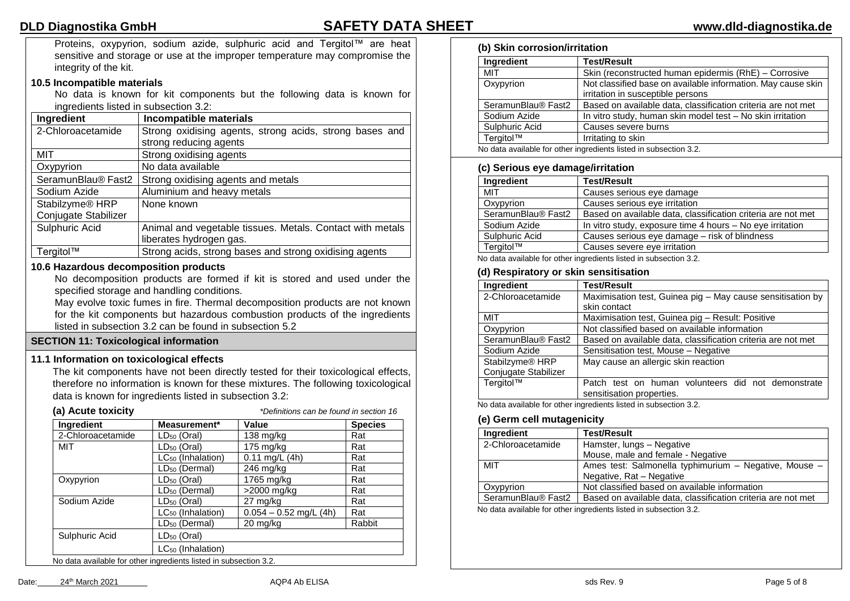Proteins, oxypyrion, sodium azide, sulphuric acid and Tergitol™ are heat sensitive and storage or use at the improper temperature may compromise the integrity of the kit.

#### **10.5 Incompatible materials**

No data is known for kit components but the following data is known for ingredients listed in subsection 3.2:

| Ingredient                  | <b>Incompatible materials</b>                             |
|-----------------------------|-----------------------------------------------------------|
| 2-Chloroacetamide           | Strong oxidising agents, strong acids, strong bases and   |
|                             | strong reducing agents                                    |
| MIT                         | Strong oxidising agents                                   |
| Oxypyrion                   | No data available                                         |
| SeramunBlau® Fast2          | Strong oxidising agents and metals                        |
| Sodium Azide                | Aluminium and heavy metals                                |
| Stabilzyme <sup>®</sup> HRP | None known                                                |
| Conjugate Stabilizer        |                                                           |
| Sulphuric Acid              | Animal and vegetable tissues. Metals. Contact with metals |
|                             | liberates hydrogen gas.                                   |
| Tergitol™                   | Strong acids, strong bases and strong oxidising agents    |

#### **10.6 Hazardous decomposition products**

No decomposition products are formed if kit is stored and used under the specified storage and handling conditions.

May evolve toxic fumes in fire. Thermal decomposition products are not known for the kit components but hazardous combustion products of the ingredients listed in subsection 3.2 can be found in subsection 5.2

### **SECTION 11: Toxicological information**

### **11.1 Information on toxicological effects**

The kit components have not been directly tested for their toxicological effects, therefore no information is known for these mixtures. The following toxicological data is known for ingredients listed in subsection 3.2:

| (a) Acute toxicity                                                |                               | *Definitions can be found in section 16 |                |
|-------------------------------------------------------------------|-------------------------------|-----------------------------------------|----------------|
| Ingredient                                                        | Measurement*                  | Value                                   | <b>Species</b> |
| 2-Chloroacetamide                                                 | $LD_{50}$ (Oral)              | 138 mg/kg                               | Rat            |
| MIT                                                               | $LD_{50}$ (Oral)              | $175 \text{ mg/kg}$                     | Rat            |
|                                                                   | LC <sub>50</sub> (Inhalation) | $0.11$ mg/L $(4h)$                      | Rat            |
|                                                                   | LD <sub>50</sub> (Dermal)     | 246 mg/kg                               | Rat            |
| Oxypyrion                                                         | $LD_{50}$ (Oral)              | 1765 mg/kg                              | Rat            |
|                                                                   | LD <sub>50</sub> (Dermal)     | >2000 mg/kg                             | Rat            |
| Sodium Azide                                                      | $LD_{50}$ (Oral)              | 27 mg/kg                                | Rat            |
|                                                                   | $LC_{50}$ (Inhalation)        | $0.054 - 0.52$ mg/L (4h)                | Rat            |
|                                                                   | LD <sub>50</sub> (Dermal)     | 20 mg/kg                                | Rabbit         |
| Sulphuric Acid                                                    | $LD_{50}$ (Oral)              |                                         |                |
|                                                                   | $LC_{50}$ (Inhalation)        |                                         |                |
| No data available for other ingredients listed in subsection 3.2. |                               |                                         |                |

## **(b) Skin corrosion/irritation**

| Ingredient                                                        | <b>Test/Result</b>                                                                                |
|-------------------------------------------------------------------|---------------------------------------------------------------------------------------------------|
| <b>MIT</b>                                                        | Skin (reconstructed human epidermis (RhE) - Corrosive                                             |
| Oxypyrion                                                         | Not classified base on available information. May cause skin<br>irritation in susceptible persons |
| SeramunBlau® Fast2                                                | Based on available data, classification criteria are not met                                      |
| Sodium Azide                                                      | In vitro study, human skin model test - No skin irritation                                        |
| Sulphuric Acid                                                    | Causes severe burns                                                                               |
| Tergitol™                                                         | Irritating to skin                                                                                |
| No data available for other ingredients listed in subsection 3.2. |                                                                                                   |

#### **(c) Serious eye damage/irritation**

| Ingredient                     | <b>Test/Result</b>                                           |
|--------------------------------|--------------------------------------------------------------|
| MIT                            | Causes serious eye damage                                    |
| Oxypyrion                      | Causes serious eye irritation                                |
| SeramunBlau <sup>®</sup> Fast2 | Based on available data, classification criteria are not met |
| Sodium Azide                   | In vitro study, exposure time 4 hours - No eye irritation    |
| Sulphuric Acid                 | Causes serious eye damage - risk of blindness                |
| Tergitol™                      | Causes severe eye irritation                                 |

No data available for other ingredients listed in subsection 3.2.

#### **(d) Respiratory or skin sensitisation**

| Ingredient                  | <b>Test/Result</b>                                           |  |
|-----------------------------|--------------------------------------------------------------|--|
| 2-Chloroacetamide           | Maximisation test, Guinea pig - May cause sensitisation by   |  |
|                             | skin contact                                                 |  |
| MIT                         | Maximisation test, Guinea pig - Result: Positive             |  |
| Oxypyrion                   | Not classified based on available information                |  |
| SeramunBlau® Fast2          | Based on available data, classification criteria are not met |  |
| Sodium Azide                | Sensitisation test, Mouse - Negative                         |  |
| Stabilzyme <sup>®</sup> HRP | May cause an allergic skin reaction                          |  |
| Conjugate Stabilizer        |                                                              |  |
| Tergitol™                   | Patch test on human volunteers did not demonstrate           |  |
|                             | sensitisation properties.                                    |  |

No data available for other ingredients listed in subsection 3.2.

#### **(e) Germ cell mutagenicity**

| Ingredient         | Test/Result                                                  |
|--------------------|--------------------------------------------------------------|
| 2-Chloroacetamide  | Hamster, lungs - Negative                                    |
|                    | Mouse, male and female - Negative                            |
| MIT                | Ames test: Salmonella typhimurium - Negative, Mouse -        |
|                    | Negative, Rat - Negative                                     |
| Oxypyrion          | Not classified based on available information                |
| SeramunBlau® Fast2 | Based on available data, classification criteria are not met |

No data available for other ingredients listed in subsection 3.2.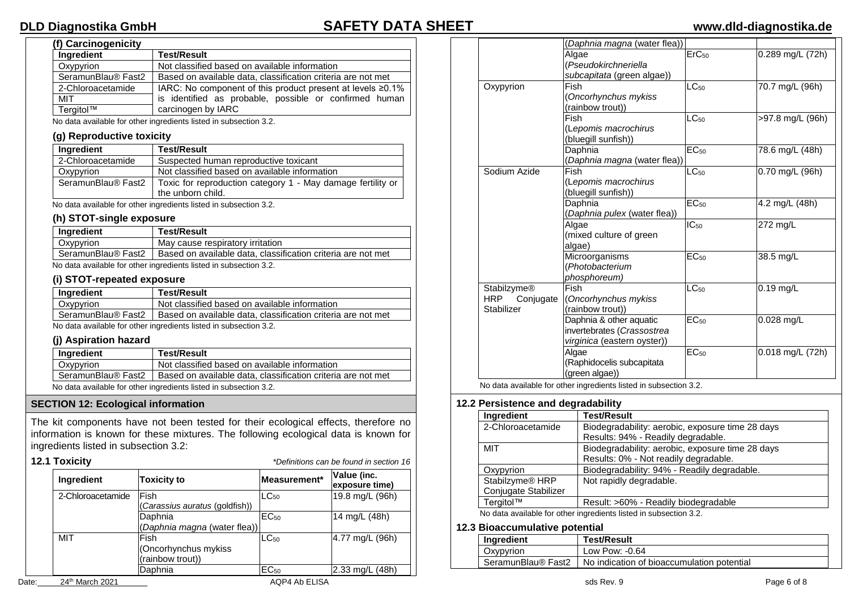# **(f) Carcinogenicity**

# **DLD Diagnostika GmbH SAFETY DATA SHEET www.dld-diagnostika.de**

| (i) Carcinogenicity |                                                                   |
|---------------------|-------------------------------------------------------------------|
| Ingredient          | <b>Test/Result</b>                                                |
| Oxypyrion           | Not classified based on available information                     |
| SeramunBlau® Fast2  | Based on available data, classification criteria are not met      |
| 2-Chloroacetamide   | IARC: No component of this product present at levels $\geq 0.1\%$ |
| MIT                 | is identified as probable, possible or confirmed human            |
| Tergitol™           | carcinogen by IARC                                                |

No data available for other ingredients listed in subsection 3.2.

#### **(g) Reproductive toxicity**

| Ingredient         | <b>Test/Result</b>                                          |
|--------------------|-------------------------------------------------------------|
| 2-Chloroacetamide  | Suspected human reproductive toxicant                       |
| Oxypyrion          | Not classified based on available information               |
| SeramunBlau® Fast2 | Toxic for reproduction category 1 - May damage fertility or |
|                    | the unborn child.                                           |

No data available for other ingredients listed in subsection 3.2.

### **(h) STOT-single exposure**

| Ingredient         | Test/Result                                                       |
|--------------------|-------------------------------------------------------------------|
| Oxypyrion          | May cause respiratory irritation                                  |
| SeramunBlau® Fast2 | Based on available data, classification criteria are not met      |
|                    | No data available for other ingredients listed in subsection 3.2. |

#### **(i) STOT-repeated exposure**

| Ingredient         | <b>Test/Result</b>                                           |
|--------------------|--------------------------------------------------------------|
| Oxypyrion          | Not classified based on available information                |
| SeramunBlau® Fast2 | Based on available data, classification criteria are not met |

No data available for other ingredients listed in subsection 3.2.

### **(j) Aspiration hazard**

| Ingredient                                                                         | <b>Test/Result</b>                            |  |
|------------------------------------------------------------------------------------|-----------------------------------------------|--|
| Oxypyrion                                                                          | Not classified based on available information |  |
| SeramunBlau® Fast2<br>Based on available data, classification criteria are not met |                                               |  |
| No data available for other ingredients listed in subsection 3.2.                  |                                               |  |

### **SECTION 12: Ecological information**

The kit components have not been tested for their ecological effects, therefore no information is known for these mixtures. The following ecological data is known for ingredients listed in subsection 3.2:

# **12.1 Toxicity** *\*Definitions can be found in section 16*

| Ingredient        | <b>Toxicity to</b>                               | Measurement*     | Value (inc.<br>exposure time) |
|-------------------|--------------------------------------------------|------------------|-------------------------------|
| 2-Chloroacetamide | lFish<br>(Carassius auratus (goldfish))          | $LC_{50}$        | 19.8 mg/L (96h)               |
|                   | Daphnia<br>(Daphnia magna (water flea))          | EC <sub>50</sub> | 14 mg/L (48h)                 |
| <b>MIT</b>        | Fish<br>(Oncorhynchus mykiss<br>(rainbow trout)) | $LC_{50}$        | 4.77 mg/L (96h)               |
|                   | Daphnia                                          | EC <sub>50</sub> | 2.33 mg/L (48h)               |

|  | Date: | 24 <sup>th</sup> March 2021 | AQP4 Ab ELISA | sds Rev. 9 | Page 6 of 8 |
|--|-------|-----------------------------|---------------|------------|-------------|
|--|-------|-----------------------------|---------------|------------|-------------|

|               | (Daphnia magna (water flea)) |                             |                  |
|---------------|------------------------------|-----------------------------|------------------|
|               | Algae                        | ErC <sub>50</sub>           | 0.289 mg/L (72h) |
|               | (Pseudokirchneriella         |                             |                  |
|               | subcapitata (green algae))   |                             |                  |
| Oxypyrion     | Fish                         | $\overline{\text{LC}_{50}}$ | 70.7 mg/L (96h)  |
|               | (Oncorhynchus mykiss         |                             |                  |
|               | (rainbow trout))             |                             |                  |
|               | Fish                         | $LC_{50}$                   | >97.8 mg/L (96h) |
|               | (Lepomis macrochirus         |                             |                  |
|               | (bluegill sunfish))          |                             |                  |
|               | Daphnia                      | EC <sub>50</sub>            | 78.6 mg/L (48h)  |
|               | (Daphnia magna (water flea)) |                             |                  |
| Sodium Azide  | Fish                         | $LC_{50}$                   | 0.70 mg/L (96h)  |
|               | (Lepomis macrochirus         |                             |                  |
|               | (bluegill sunfish))          |                             |                  |
|               | Daphnia                      | EC <sub>50</sub>            | 4.2 mg/L (48h)   |
|               | (Daphnia pulex (water flea)) |                             |                  |
|               | Algae                        | $IC_{50}$                   | 272 mg/L         |
|               | (mixed culture of green      |                             |                  |
|               | algae)                       |                             |                  |
|               | Microorganisms               | EC <sub>50</sub>            | 38.5 mg/L        |
|               | (Photobacterium              |                             |                  |
|               | phosphoreum)                 |                             |                  |
| Stabilzyme®   | Fish                         | $\overline{\text{LC}_{50}}$ | $0.19$ mg/L      |
| HRP Conjugate | (Oncorhynchus mykiss         |                             |                  |
| Stabilizer    | (rainbow trout))             |                             |                  |
|               | Daphnia & other aquatic      | EC <sub>50</sub>            | $0.028$ mg/L     |
|               | invertebrates (Crassostrea   |                             |                  |
|               | virginica (eastern oyster))  |                             |                  |
|               | Algae                        | EC <sub>50</sub>            | 0.018 mg/L (72h) |
|               | (Raphidocelis subcapitata    |                             |                  |
|               | (green algae))               |                             |                  |
|               |                              |                             |                  |

No data available for other ingredients listed in subsection 3.2.

#### **12.2 Persistence and degradability**

| Test/Result                                      |
|--------------------------------------------------|
| Biodegradability: aerobic, exposure time 28 days |
| Results: 94% - Readily degradable.               |
| Biodegradability: aerobic, exposure time 28 days |
| Results: 0% - Not readily degradable.            |
| Biodegradability: 94% - Readily degradable.      |
| Not rapidly degradable.                          |
|                                                  |
| Result: >60% - Readily biodegradable             |
|                                                  |

No data available for other ingredients listed in subsection 3.2.

#### **12.3 Bioaccumulative potential**

| Ingredient         | <b>Test/Result</b>                         |
|--------------------|--------------------------------------------|
| Oxypyrion          | Low Pow: -0.64                             |
| SeramunBlau® Fast2 | No indication of bioaccumulation potential |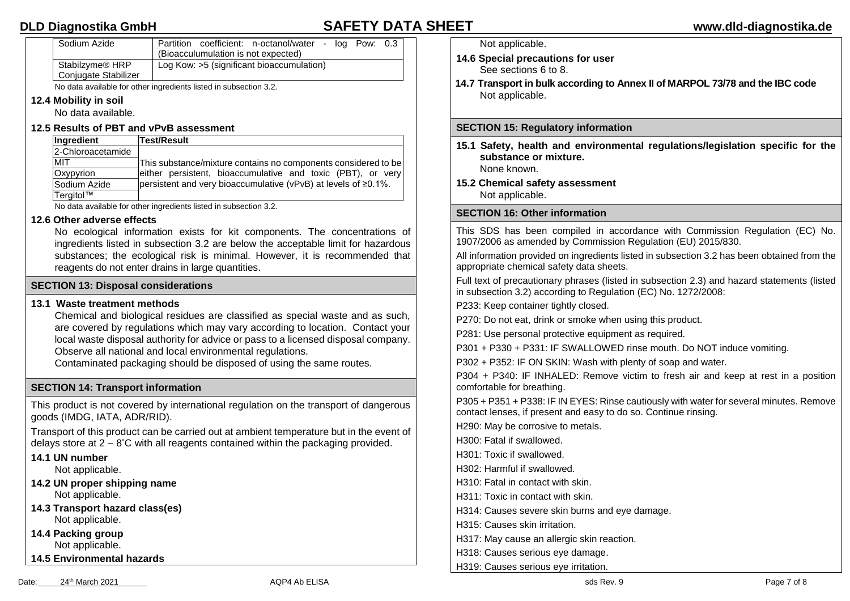| Sodium Azide                                        | Partition coefficient: n-octanol/water -<br>(Bioacculumulation is not expected) | loa Pow: 0.3 |  |
|-----------------------------------------------------|---------------------------------------------------------------------------------|--------------|--|
| Stabilzyme <sup>®</sup> HRP<br>Conjugate Stabilizer | Log Kow: >5 (significant bioaccumulation)                                       |              |  |

No data available for other ingredients listed in subsection 3.2.

# **12.4 Mobility in soil**

No data available.

# **12.5 Results of PBT and vPvB assessment**

| Ingredient        | Test/Result                                                            |
|-------------------|------------------------------------------------------------------------|
| 2-Chloroacetamide |                                                                        |
| <b>MIT</b>        | This substance/mixture contains no components considered to be         |
| Oxypyrion         | either persistent, bioaccumulative and toxic (PBT), or very            |
| Sodium Azide      | persistent and very bioaccumulative (vPvB) at levels of $\geq 0.1\%$ . |
| Tergitol™         |                                                                        |

No data available for other ingredients listed in subsection 3.2.

# **12.6 Other adverse effects**

No ecological information exists for kit components. The concentrations of ingredients listed in subsection 3.2 are below the acceptable limit for hazardous substances; the ecological risk is minimal. However, it is recommended that reagents do not enter drains in large quantities.

# **SECTION 13: Disposal considerations**

# **13.1 Waste treatment methods**

Chemical and biological residues are classified as special waste and as such, are covered by regulations which may vary according to location. Contact your local waste disposal authority for advice or pass to a licensed disposal company. Observe all national and local environmental regulations.

Contaminated packaging should be disposed of using the same routes.

# **SECTION 14: Transport information**

This product is not covered by international regulation on the transport of dangerous goods (IMDG, IATA, ADR/RID).

Transport of this product can be carried out at ambient temperature but in the event of delays store at 2 – 8 °C with all reagents contained within the packaging provided.

## **14.1 UN number**

Not applicable.

- **14.2 UN proper shipping name** Not applicable.
- **14.3 Transport hazard class(es)** Not applicable.

**14.4 Packing group** Not applicable.

**14.5 Environmental hazards**

Not applicable.

- **14.6 Special precautions for user** See sections 6 to 8.
- **14.7 Transport in bulk according to Annex II of MARPOL 73/78 and the IBC code** Not applicable.

# **SECTION 15: Regulatory information**

**15.1 Safety, health and environmental regulations/legislation specific for the substance or mixture.** None known.

**15.2 Chemical safety assessment** Not applicable.

# **SECTION 16: Other information**

This SDS has been compiled in accordance with Commission Regulation (EC) No. 1907/2006 as amended by Commission Regulation (EU) 2015/830.

All information provided on ingredients listed in subsection 3.2 has been obtained from the appropriate chemical safety data sheets.

Full text of precautionary phrases (listed in subsection 2.3) and hazard statements (listed in subsection 3.2) according to Regulation (EC) No. 1272/2008:

P233: Keep container tightly closed.

P270: Do not eat, drink or smoke when using this product.

P281: Use personal protective equipment as required.

P301 + P330 + P331: IF SWALLOWED rinse mouth. Do NOT induce vomiting.

P302 + P352: IF ON SKIN: Wash with plenty of soap and water.

P304 + P340: IF INHALED: Remove victim to fresh air and keep at rest in a position comfortable for breathing.

P305 + P351 + P338: IF IN EYES: Rinse cautiously with water for several minutes. Remove contact lenses, if present and easy to do so. Continue rinsing.

H290: May be corrosive to metals.

H300: Fatal if swallowed.

H301: Toxic if swallowed.

H302: Harmful if swallowed.

H310: Fatal in contact with skin.

H311: Toxic in contact with skin.

H314: Causes severe skin burns and eye damage.

H315: Causes skin irritation.

H317: May cause an allergic skin reaction.

H318: Causes serious eye damage.

H319: Causes serious eye irritation.